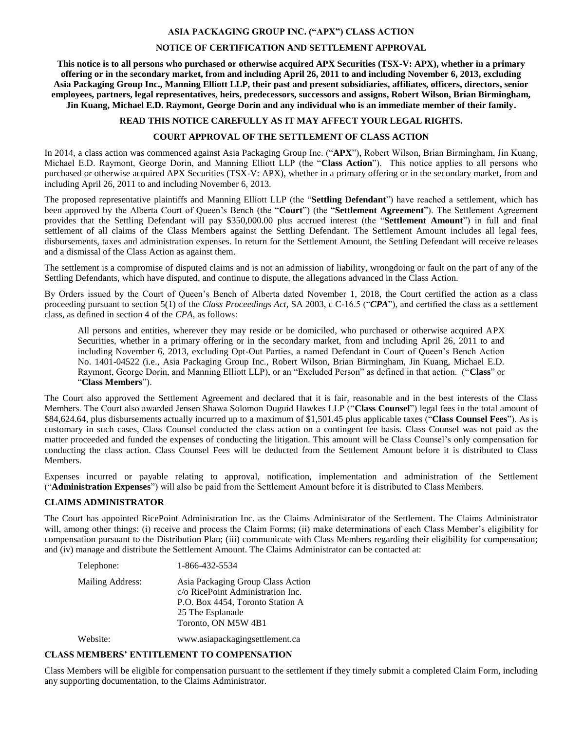#### **ASIA PACKAGING GROUP INC. ("APX") CLASS ACTION**

# **NOTICE OF CERTIFICATION AND SETTLEMENT APPROVAL**

**This notice is to all persons who purchased or otherwise acquired APX Securities (TSX-V: APX), whether in a primary offering or in the secondary market, from and including April 26, 2011 to and including November 6, 2013, excluding Asia Packaging Group Inc., Manning Elliott LLP, their past and present subsidiaries, affiliates, officers, directors, senior employees, partners, legal representatives, heirs, predecessors, successors and assigns, Robert Wilson, Brian Birmingham, Jin Kuang, Michael E.D. Raymont, George Dorin and any individual who is an immediate member of their family.**

#### **READ THIS NOTICE CAREFULLY AS IT MAY AFFECT YOUR LEGAL RIGHTS.**

#### **COURT APPROVAL OF THE SETTLEMENT OF CLASS ACTION**

In 2014, a class action was commenced against Asia Packaging Group Inc. ("**APX**"), Robert Wilson, Brian Birmingham, Jin Kuang, Michael E.D. Raymont, George Dorin, and Manning Elliott LLP (the "**Class Action**"). This notice applies to all persons who purchased or otherwise acquired APX Securities (TSX-V: APX), whether in a primary offering or in the secondary market, from and including April 26, 2011 to and including November 6, 2013.

The proposed representative plaintiffs and Manning Elliott LLP (the "**Settling Defendant**") have reached a settlement, which has been approved by the Alberta Court of Queen's Bench (the "**Court**") (the "**Settlement Agreement**"). The Settlement Agreement provides that the Settling Defendant will pay \$350,000.00 plus accrued interest (the "**Settlement Amount**") in full and final settlement of all claims of the Class Members against the Settling Defendant. The Settlement Amount includes all legal fees, disbursements, taxes and administration expenses. In return for the Settlement Amount, the Settling Defendant will receive releases and a dismissal of the Class Action as against them.

The settlement is a compromise of disputed claims and is not an admission of liability, wrongdoing or fault on the part of any of the Settling Defendants, which have disputed, and continue to dispute, the allegations advanced in the Class Action.

By Orders issued by the Court of Queen's Bench of Alberta dated November 1, 2018, the Court certified the action as a class proceeding pursuant to section 5(1) of the *Class Proceedings Act*, SA 2003, c C-16.5 ("*CPA*"), and certified the class as a settlement class, as defined in section 4 of the *CPA*, as follows:

All persons and entities, wherever they may reside or be domiciled, who purchased or otherwise acquired APX Securities, whether in a primary offering or in the secondary market, from and including April 26, 2011 to and including November 6, 2013, excluding Opt-Out Parties, a named Defendant in Court of Queen's Bench Action No. 1401-04522 (i.e., Asia Packaging Group Inc., Robert Wilson, Brian Birmingham, Jin Kuang, Michael E.D. Raymont, George Dorin, and Manning Elliott LLP), or an "Excluded Person" as defined in that action. ("**Class**" or "**Class Members**").

The Court also approved the Settlement Agreement and declared that it is fair, reasonable and in the best interests of the Class Members. The Court also awarded Jensen Shawa Solomon Duguid Hawkes LLP ("**Class Counsel**") legal fees in the total amount of \$84,624.64, plus disbursements actually incurred up to a maximum of \$1,501.45 plus applicable taxes ("**Class Counsel Fees**"). As is customary in such cases, Class Counsel conducted the class action on a contingent fee basis. Class Counsel was not paid as the matter proceeded and funded the expenses of conducting the litigation. This amount will be Class Counsel's only compensation for conducting the class action. Class Counsel Fees will be deducted from the Settlement Amount before it is distributed to Class Members.

Expenses incurred or payable relating to approval, notification, implementation and administration of the Settlement ("**Administration Expenses**") will also be paid from the Settlement Amount before it is distributed to Class Members.

# **CLAIMS ADMINISTRATOR**

The Court has appointed RicePoint Administration Inc. as the Claims Administrator of the Settlement. The Claims Administrator will, among other things: (i) receive and process the Claim Forms; (ii) make determinations of each Class Member's eligibility for compensation pursuant to the Distribution Plan; (iii) communicate with Class Members regarding their eligibility for compensation; and (iv) manage and distribute the Settlement Amount. The Claims Administrator can be contacted at:

| Telephone:       | 1-866-432-5534                                                                                                                                        |
|------------------|-------------------------------------------------------------------------------------------------------------------------------------------------------|
| Mailing Address: | Asia Packaging Group Class Action<br>c/o RicePoint Administration Inc.<br>P.O. Box 4454, Toronto Station A<br>25 The Esplanade<br>Toronto, ON M5W 4B1 |
| Website:         | www.asiapackagingsettlement.ca                                                                                                                        |

# **CLASS MEMBERS' ENTITLEMENT TO COMPENSATION**

Class Members will be eligible for compensation pursuant to the settlement if they timely submit a completed Claim Form, including any supporting documentation, to the Claims Administrator.